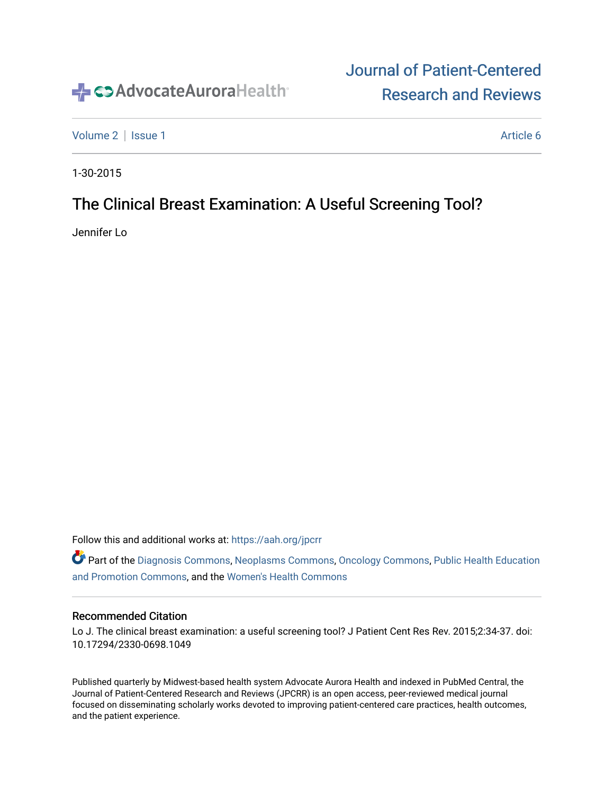

## [Journal of Patient-Centered](https://institutionalrepository.aah.org/jpcrr)  [Research and Reviews](https://institutionalrepository.aah.org/jpcrr)

[Volume 2](https://institutionalrepository.aah.org/jpcrr/vol2) | [Issue 1](https://institutionalrepository.aah.org/jpcrr/vol2/iss1) Article 6

1-30-2015

## The Clinical Breast Examination: A Useful Screening Tool?

Jennifer Lo

Follow this and additional works at: [https://aah.org/jpcrr](https://institutionalrepository.aah.org/jpcrr?utm_source=institutionalrepository.aah.org%2Fjpcrr%2Fvol2%2Fiss1%2F6&utm_medium=PDF&utm_campaign=PDFCoverPages) 

Part of the [Diagnosis Commons,](http://network.bepress.com/hgg/discipline/945?utm_source=institutionalrepository.aah.org%2Fjpcrr%2Fvol2%2Fiss1%2F6&utm_medium=PDF&utm_campaign=PDFCoverPages) [Neoplasms Commons,](http://network.bepress.com/hgg/discipline/924?utm_source=institutionalrepository.aah.org%2Fjpcrr%2Fvol2%2Fiss1%2F6&utm_medium=PDF&utm_campaign=PDFCoverPages) [Oncology Commons](http://network.bepress.com/hgg/discipline/694?utm_source=institutionalrepository.aah.org%2Fjpcrr%2Fvol2%2Fiss1%2F6&utm_medium=PDF&utm_campaign=PDFCoverPages), [Public Health Education](http://network.bepress.com/hgg/discipline/743?utm_source=institutionalrepository.aah.org%2Fjpcrr%2Fvol2%2Fiss1%2F6&utm_medium=PDF&utm_campaign=PDFCoverPages)  [and Promotion Commons](http://network.bepress.com/hgg/discipline/743?utm_source=institutionalrepository.aah.org%2Fjpcrr%2Fvol2%2Fiss1%2F6&utm_medium=PDF&utm_campaign=PDFCoverPages), and the [Women's Health Commons](http://network.bepress.com/hgg/discipline/1241?utm_source=institutionalrepository.aah.org%2Fjpcrr%2Fvol2%2Fiss1%2F6&utm_medium=PDF&utm_campaign=PDFCoverPages) 

#### Recommended Citation

Lo J. The clinical breast examination: a useful screening tool? J Patient Cent Res Rev. 2015;2:34-37. doi: 10.17294/2330-0698.1049

Published quarterly by Midwest-based health system Advocate Aurora Health and indexed in PubMed Central, the Journal of Patient-Centered Research and Reviews (JPCRR) is an open access, peer-reviewed medical journal focused on disseminating scholarly works devoted to improving patient-centered care practices, health outcomes, and the patient experience.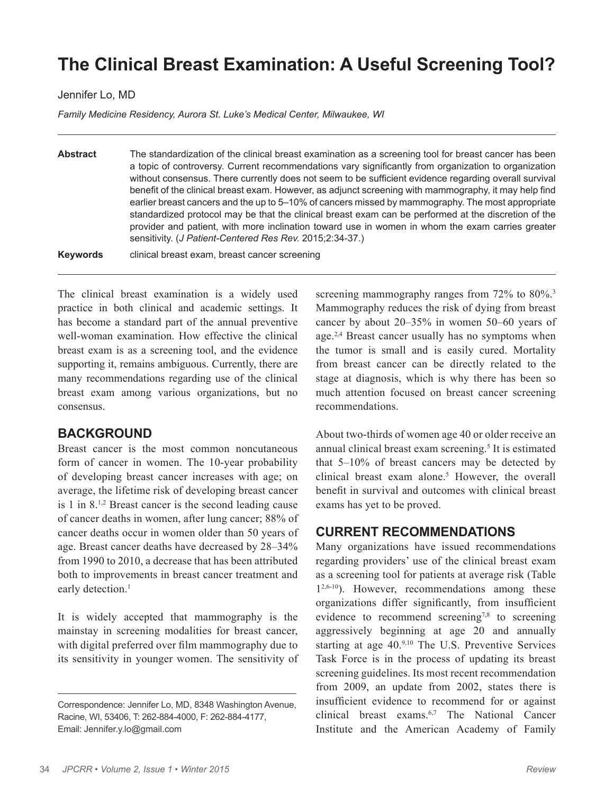# **The Clinical Breast Examination: A Useful Screening Tool?**

#### Jennifer Lo, MD

*Family Medicine Residency, Aurora St. Luke's Medical Center, Milwaukee, WI*

**Abstract** The standardization of the clinical breast examination as a screening tool for breast cancer has been a topic of controversy. Current recommendations vary significantly from organization to organization without consensus. There currently does not seem to be sufficient evidence regarding overall survival benefit of the clinical breast exam. However, as adjunct screening with mammography, it may help find earlier breast cancers and the up to 5–10% of cancers missed by mammography. The most appropriate standardized protocol may be that the clinical breast exam can be performed at the discretion of the provider and patient, with more inclination toward use in women in whom the exam carries greater sensitivity. (*J Patient-Centered Res Rev.* 2015;2:34-37.) **Keywords** clinical breast exam, breast cancer screening

The clinical breast examination is a widely used practice in both clinical and academic settings. It has become a standard part of the annual preventive well-woman examination. How effective the clinical breast exam is as a screening tool, and the evidence supporting it, remains ambiguous. Currently, there are many recommendations regarding use of the clinical breast exam among various organizations, but no consensus.

### **BACKGROUND**

Breast cancer is the most common noncutaneous form of cancer in women. The 10-year probability of developing breast cancer increases with age; on average, the lifetime risk of developing breast cancer is 1 in 8.1,2 Breast cancer is the second leading cause of cancer deaths in women, after lung cancer; 88% of cancer deaths occur in women older than 50 years of age. Breast cancer deaths have decreased by 28–34% from 1990 to 2010, a decrease that has been attributed both to improvements in breast cancer treatment and early detection.<sup>1</sup>

It is widely accepted that mammography is the mainstay in screening modalities for breast cancer, with digital preferred over film mammography due to its sensitivity in younger women. The sensitivity of screening mammography ranges from 72% to 80%.<sup>3</sup> Mammography reduces the risk of dying from breast cancer by about 20–35% in women 50–60 years of age.<sup>2,4</sup> Breast cancer usually has no symptoms when the tumor is small and is easily cured. Mortality from breast cancer can be directly related to the stage at diagnosis, which is why there has been so much attention focused on breast cancer screening recommendations.

About two-thirds of women age 40 or older receive an annual clinical breast exam screening.<sup>5</sup> It is estimated that 5–10% of breast cancers may be detected by clinical breast exam alone.<sup>5</sup> However, the overall benefit in survival and outcomes with clinical breast exams has yet to be proved.

### **CURRENT RECOMMENDATIONS**

Many organizations have issued recommendations regarding providers' use of the clinical breast exam as a screening tool for patients at average risk (Table  $1^{2,6-10}$ ). However, recommendations among these organizations differ significantly, from insufficient evidence to recommend screening<sup>7,8</sup> to screening aggressively beginning at age 20 and annually starting at age 40.9,10 The U.S. Preventive Services Task Force is in the process of updating its breast screening guidelines. Its most recent recommendation from 2009, an update from 2002, states there is insufficient evidence to recommend for or against clinical breast exams.6,7 The National Cancer Institute and the American Academy of Family

Correspondence: Jennifer Lo, MD, 8348 Washington Avenue, Racine, WI, 53406, T: 262-884-4000, F: 262-884-4177, Email: Jennifer.y.lo@gmail.com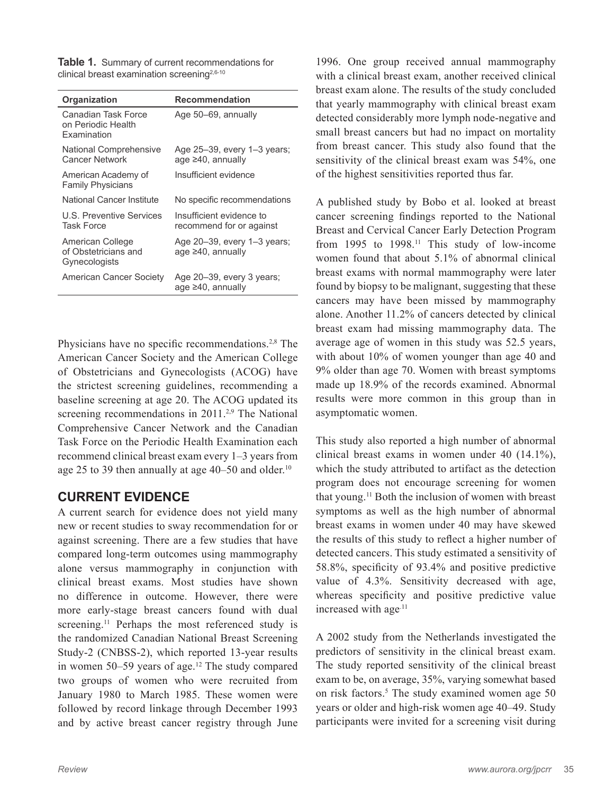**Table 1.** Summary of current recommendations for clinical breast examination screening<sup>2,6-10</sup>

| Organization                                              | <b>Recommendation</b>                                   |
|-----------------------------------------------------------|---------------------------------------------------------|
| Canadian Task Force<br>on Periodic Health<br>Examination  | Age 50–69, annually                                     |
| National Comprehensive<br><b>Cancer Network</b>           | Age 25-39, every 1-3 years;<br>age $\geq 40$ , annually |
| American Academy of<br><b>Family Physicians</b>           | Insufficient evidence                                   |
| National Cancer Institute                                 | No specific recommendations                             |
| U.S. Preventive Services<br><b>Task Force</b>             | Insufficient evidence to<br>recommend for or against    |
| American College<br>of Obstetricians and<br>Gynecologists | Age 20-39, every 1-3 years;<br>age ≥40, annually        |
| American Cancer Society                                   | Age 20-39, every 3 years;<br>age ≥40, annually          |

Physicians have no specific recommendations.<sup>2,8</sup> The American Cancer Society and the American College of Obstetricians and Gynecologists (ACOG) have the strictest screening guidelines, recommending a baseline screening at age 20. The ACOG updated its screening recommendations in 2011.<sup>2,9</sup> The National Comprehensive Cancer Network and the Canadian Task Force on the Periodic Health Examination each recommend clinical breast exam every 1–3 years from age 25 to 39 then annually at age  $40-50$  and older.<sup>10</sup>

## **CURRENT EVIDENCE**

A current search for evidence does not yield many new or recent studies to sway recommendation for or against screening. There are a few studies that have compared long-term outcomes using mammography alone versus mammography in conjunction with clinical breast exams. Most studies have shown no difference in outcome. However, there were more early-stage breast cancers found with dual screening.<sup>11</sup> Perhaps the most referenced study is the randomized Canadian National Breast Screening Study-2 (CNBSS-2), which reported 13-year results in women 50–59 years of age.<sup>12</sup> The study compared two groups of women who were recruited from January 1980 to March 1985. These women were followed by record linkage through December 1993 and by active breast cancer registry through June

1996. One group received annual mammography with a clinical breast exam, another received clinical breast exam alone. The results of the study concluded that yearly mammography with clinical breast exam detected considerably more lymph node-negative and small breast cancers but had no impact on mortality from breast cancer. This study also found that the sensitivity of the clinical breast exam was 54%, one of the highest sensitivities reported thus far.

A published study by Bobo et al. looked at breast cancer screening findings reported to the National Breast and Cervical Cancer Early Detection Program from 1995 to 1998.<sup>11</sup> This study of low-income women found that about 5.1% of abnormal clinical breast exams with normal mammography were later found by biopsy to be malignant, suggesting that these cancers may have been missed by mammography alone. Another 11.2% of cancers detected by clinical breast exam had missing mammography data. The average age of women in this study was 52.5 years, with about 10% of women younger than age 40 and 9% older than age 70. Women with breast symptoms made up 18.9% of the records examined. Abnormal results were more common in this group than in asymptomatic women.

This study also reported a high number of abnormal clinical breast exams in women under 40 (14.1%), which the study attributed to artifact as the detection program does not encourage screening for women that young.11 Both the inclusion of women with breast symptoms as well as the high number of abnormal breast exams in women under 40 may have skewed the results of this study to reflect a higher number of detected cancers. This study estimated a sensitivity of 58.8%, specificity of 93.4% and positive predictive value of 4.3%. Sensitivity decreased with age, whereas specificity and positive predictive value increased with age $^{11}$ 

A 2002 study from the Netherlands investigated the predictors of sensitivity in the clinical breast exam. The study reported sensitivity of the clinical breast exam to be, on average, 35%, varying somewhat based on risk factors.<sup>5</sup> The study examined women age 50 years or older and high-risk women age 40–49. Study participants were invited for a screening visit during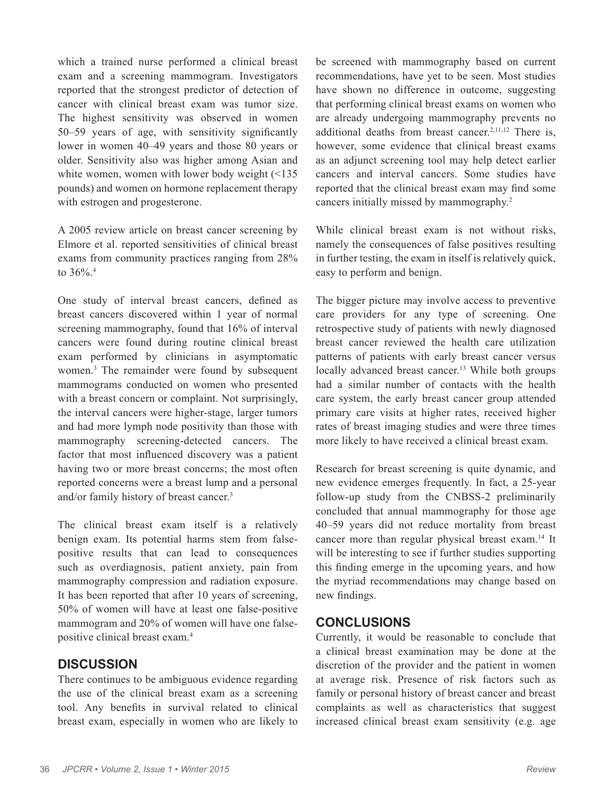which a trained nurse performed a clinical breast exam and a screening mammogram. Investigators reported that the strongest predictor of detection of cancer with clinical breast exam was tumor size. The highest sensitivity was observed in women 50–59 years of age, with sensitivity significantly lower in women 40–49 years and those 80 years or older. Sensitivity also was higher among Asian and white women, women with lower body weight (<135 pounds) and women on hormone replacement therapy with estrogen and progesterone.

A 2005 review article on breast cancer screening by Elmore et al. reported sensitivities of clinical breast exams from community practices ranging from 28% to  $36\%$ <sup>4</sup>

One study of interval breast cancers, defined as breast cancers discovered within 1 year of normal screening mammography, found that 16% of interval cancers were found during routine clinical breast exam performed by clinicians in asymptomatic women.3 The remainder were found by subsequent mammograms conducted on women who presented with a breast concern or complaint. Not surprisingly, the interval cancers were higher-stage, larger tumors and had more lymph node positivity than those with mammography screening-detected cancers. The factor that most influenced discovery was a patient having two or more breast concerns; the most often reported concerns were a breast lump and a personal and/or family history of breast cancer.3

The clinical breast exam itself is a relatively benign exam. Its potential harms stem from falsepositive results that can lead to consequences such as overdiagnosis, patient anxiety, pain from mammography compression and radiation exposure. It has been reported that after 10 years of screening, 50% of women will have at least one false-positive mammogram and 20% of women will have one falsepositive clinical breast exam.4

## **DISCUSSION**

There continues to be ambiguous evidence regarding the use of the clinical breast exam as a screening tool. Any benefits in survival related to clinical breast exam, especially in women who are likely to be screened with mammography based on current recommendations, have yet to be seen. Most studies have shown no difference in outcome, suggesting that performing clinical breast exams on women who are already undergoing mammography prevents no additional deaths from breast cancer.<sup>2,11,12</sup> There is, however, some evidence that clinical breast exams as an adjunct screening tool may help detect earlier cancers and interval cancers. Some studies have reported that the clinical breast exam may find some cancers initially missed by mammography.2

While clinical breast exam is not without risks, namely the consequences of false positives resulting in further testing, the exam in itself is relatively quick, easy to perform and benign.

The bigger picture may involve access to preventive care providers for any type of screening. One retrospective study of patients with newly diagnosed breast cancer reviewed the health care utilization patterns of patients with early breast cancer versus locally advanced breast cancer.<sup>13</sup> While both groups had a similar number of contacts with the health care system, the early breast cancer group attended primary care visits at higher rates, received higher rates of breast imaging studies and were three times more likely to have received a clinical breast exam.

Research for breast screening is quite dynamic, and new evidence emerges frequently. In fact, a 25-year follow-up study from the CNBSS-2 preliminarily concluded that annual mammography for those age 40–59 years did not reduce mortality from breast cancer more than regular physical breast exam.14 It will be interesting to see if further studies supporting this finding emerge in the upcoming years, and how the myriad recommendations may change based on new findings.

## **CONCLUSIONS**

Currently, it would be reasonable to conclude that a clinical breast examination may be done at the discretion of the provider and the patient in women at average risk. Presence of risk factors such as family or personal history of breast cancer and breast complaints as well as characteristics that suggest increased clinical breast exam sensitivity (e.g. age